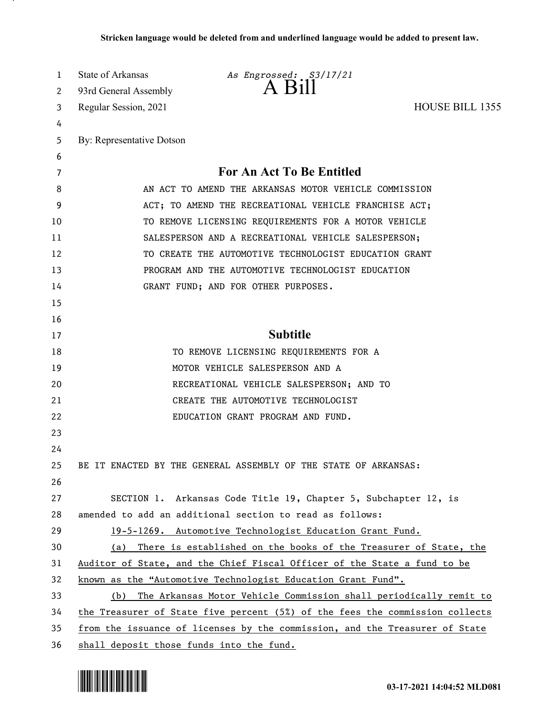| 1  | State of Arkansas                        | As Engrossed: S3/17/21                                                       |                        |
|----|------------------------------------------|------------------------------------------------------------------------------|------------------------|
| 2  | 93rd General Assembly                    |                                                                              |                        |
| 3  | Regular Session, 2021                    |                                                                              | <b>HOUSE BILL 1355</b> |
| 4  |                                          |                                                                              |                        |
| 5  | By: Representative Dotson                |                                                                              |                        |
| 6  |                                          |                                                                              |                        |
| 7  |                                          | For An Act To Be Entitled                                                    |                        |
| 8  |                                          | AN ACT TO AMEND THE ARKANSAS MOTOR VEHICLE COMMISSION                        |                        |
| 9  |                                          | ACT; TO AMEND THE RECREATIONAL VEHICLE FRANCHISE ACT;                        |                        |
| 10 |                                          | TO REMOVE LICENSING REQUIREMENTS FOR A MOTOR VEHICLE                         |                        |
| 11 |                                          | SALESPERSON AND A RECREATIONAL VEHICLE SALESPERSON;                          |                        |
| 12 |                                          | TO CREATE THE AUTOMOTIVE TECHNOLOGIST EDUCATION GRANT                        |                        |
| 13 |                                          | PROGRAM AND THE AUTOMOTIVE TECHNOLOGIST EDUCATION                            |                        |
| 14 |                                          | GRANT FUND; AND FOR OTHER PURPOSES.                                          |                        |
| 15 |                                          |                                                                              |                        |
| 16 |                                          |                                                                              |                        |
| 17 |                                          | <b>Subtitle</b>                                                              |                        |
| 18 |                                          | TO REMOVE LICENSING REQUIREMENTS FOR A                                       |                        |
| 19 |                                          | MOTOR VEHICLE SALESPERSON AND A                                              |                        |
| 20 |                                          | RECREATIONAL VEHICLE SALESPERSON; AND TO                                     |                        |
| 21 |                                          | CREATE THE AUTOMOTIVE TECHNOLOGIST                                           |                        |
| 22 |                                          | EDUCATION GRANT PROGRAM AND FUND.                                            |                        |
| 23 |                                          |                                                                              |                        |
| 24 |                                          |                                                                              |                        |
| 25 |                                          | BE IT ENACTED BY THE GENERAL ASSEMBLY OF THE STATE OF ARKANSAS:              |                        |
| 26 |                                          |                                                                              |                        |
| 27 |                                          | SECTION 1. Arkansas Code Title 19, Chapter 5, Subchapter 12, is              |                        |
| 28 |                                          | amended to add an additional section to read as follows:                     |                        |
| 29 |                                          | 19-5-1269. Automotive Technologist Education Grant Fund.                     |                        |
| 30 | (a)                                      | There is established on the books of the Treasurer of State, the             |                        |
| 31 |                                          | Auditor of State, and the Chief Fiscal Officer of the State a fund to be     |                        |
| 32 |                                          | known as the "Automotive Technologist Education Grant Fund".                 |                        |
| 33 |                                          | (b) The Arkansas Motor Vehicle Commission shall periodically remit to        |                        |
| 34 |                                          | the Treasurer of State five percent (5%) of the fees the commission collects |                        |
| 35 |                                          | from the issuance of licenses by the commission, and the Treasurer of State  |                        |
| 36 | shall deposit those funds into the fund. |                                                                              |                        |

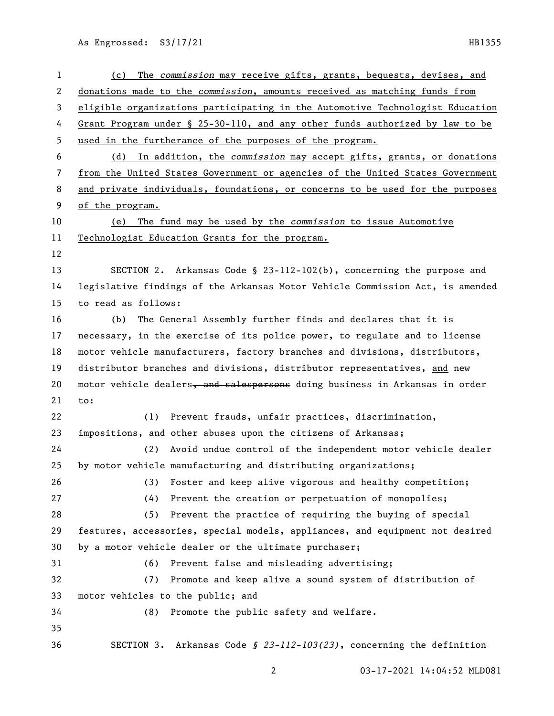| $\mathbf{1}$ | The commission may receive gifts, grants, bequests, devises, and<br>(c)       |
|--------------|-------------------------------------------------------------------------------|
| 2            | donations made to the commission, amounts received as matching funds from     |
| 3            | eligible organizations participating in the Automotive Technologist Education |
| 4            | Grant Program under § 25-30-110, and any other funds authorized by law to be  |
| 5            | used in the furtherance of the purposes of the program.                       |
| 6            | (d) In addition, the commission may accept gifts, grants, or donations        |
| 7            | from the United States Government or agencies of the United States Government |
| 8            | and private individuals, foundations, or concerns to be used for the purposes |
| 9            | of the program.                                                               |
| 10           | The fund may be used by the commission to issue Automotive<br>(e)             |
| 11           | Technologist Education Grants for the program.                                |
| 12           |                                                                               |
| 13           | SECTION 2. Arkansas Code § 23-112-102(b), concerning the purpose and          |
| 14           | legislative findings of the Arkansas Motor Vehicle Commission Act, is amended |
| 15           | to read as follows:                                                           |
| 16           | The General Assembly further finds and declares that it is<br>(b)             |
| 17           | necessary, in the exercise of its police power, to regulate and to license    |
| 18           | motor vehicle manufacturers, factory branches and divisions, distributors,    |
| 19           | distributor branches and divisions, distributor representatives, and new      |
| 20           | motor vehicle dealers, and salespersons doing business in Arkansas in order   |
| 21           | to:                                                                           |
| 22           | Prevent frauds, unfair practices, discrimination,<br>(1)                      |
| 23           | impositions, and other abuses upon the citizens of Arkansas;                  |
| 24           | Avoid undue control of the independent motor vehicle dealer<br>(2)            |
| 25           | by motor vehicle manufacturing and distributing organizations;                |
| 26           | Foster and keep alive vigorous and healthy competition;<br>(3)                |
| 27           | Prevent the creation or perpetuation of monopolies;<br>(4)                    |
| 28           | Prevent the practice of requiring the buying of special<br>(5)                |
| 29           | features, accessories, special models, appliances, and equipment not desired  |
| 30           | by a motor vehicle dealer or the ultimate purchaser;                          |
| 31           | Prevent false and misleading advertising;<br>(6)                              |
| 32           | Promote and keep alive a sound system of distribution of<br>(7)               |
| 33           | motor vehicles to the public; and                                             |
| 34           | Promote the public safety and welfare.<br>(8)                                 |
| 35           |                                                                               |
| 36           | SECTION 3. Arkansas Code § 23-112-103(23), concerning the definition          |
|              |                                                                               |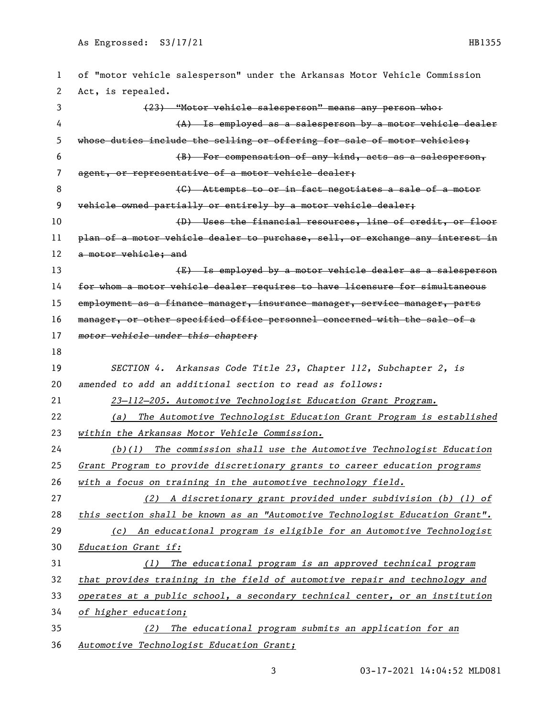| 1  | of "motor vehicle salesperson" under the Arkansas Motor Vehicle Commission    |
|----|-------------------------------------------------------------------------------|
| 2  | Act, is repealed.                                                             |
| 3  | (23) "Motor vehicle salesperson" means any person who:                        |
| 4  | (A) Is employed as a salesperson by a motor vehicle dealer                    |
| 5  | whose duties include the selling or offering for sale of motor vehicles;      |
| 6  | (B) For compensation of any kind, acts as a salesperson,                      |
| 7  | agent, or representative of a motor vehicle dealer;                           |
| 8  | (C) Attempts to or in fact negotiates a sale of a motor                       |
| 9  | vehicle owned partially or entirely by a motor vehicle dealer;                |
| 10 | (D) Uses the financial resources, line of credit, or floor                    |
| 11 | plan of a motor vehicle dealer to purchase, sell, or exchange any interest in |
| 12 | a motor vehicle; and                                                          |
| 13 | (E) Is employed by a motor vehicle dealer as a salesperson                    |
| 14 | for whom a motor vehicle dealer requires to have licensure for simultaneous   |
| 15 | employment as a finance manager, insurance manager, service manager, parts    |
| 16 | manager, or other specified office personnel concerned with the sale of a     |
| 17 | motor vehicle under this chapter;                                             |
| 18 |                                                                               |
| 19 | SECTION 4. Arkansas Code Title 23, Chapter 112, Subchapter 2, is              |
| 20 | amended to add an additional section to read as follows:                      |
| 21 | 23-112-205. Automotive Technologist Education Grant Program.                  |
| 22 | The Automotive Technologist Education Grant Program is established<br>(a)     |
| 23 | within the Arkansas Motor Vehicle Commission.                                 |
| 24 | The commission shall use the Automotive Technologist Education<br>(b)(1)      |
| 25 | Grant Program to provide discretionary grants to career education programs    |
| 26 | with a focus on training in the automotive technology field.                  |
| 27 | A discretionary grant provided under subdivision (b) (1) of<br>(2)            |
| 28 | this section shall be known as an "Automotive Technologist Education Grant".  |
| 29 | An educational program is eligible for an Automotive Technologist<br>(c)      |
| 30 | Education Grant if:                                                           |
| 31 | The educational program is an approved technical program<br>(1)               |
| 32 | that provides training in the field of automotive repair and technology and   |
| 33 | operates at a public school, a secondary technical center, or an institution  |
| 34 | of higher education;                                                          |
| 35 | The educational program submits an application for an<br>(2)                  |
| 36 | Automotive Technologist Education Grant;                                      |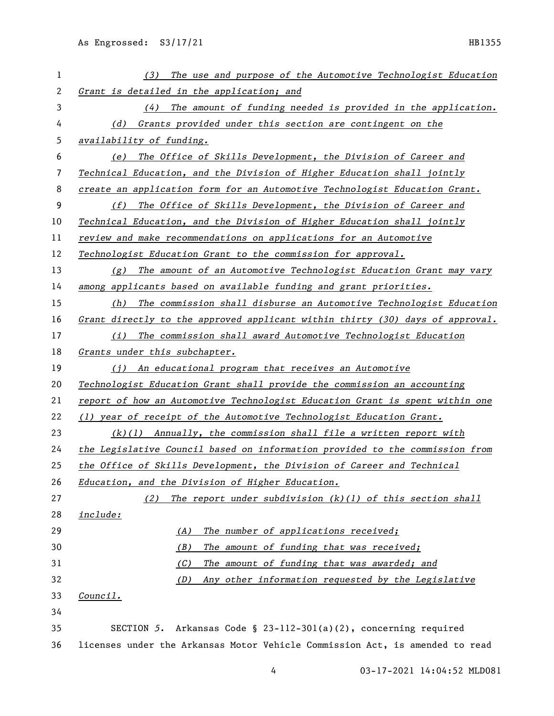| 1                        | The use and purpose of the Automotive Technologist Education<br>(3)           |
|--------------------------|-------------------------------------------------------------------------------|
| 2                        | Grant is detailed in the application; and                                     |
| 3                        | The amount of funding needed is provided in the application.<br>(4)           |
| 4                        | Grants provided under this section are contingent on the<br>(d)               |
| 5                        | availability of funding.                                                      |
| 6                        | (e) The Office of Skills Development, the Division of Career and              |
| $\overline{\phantom{a}}$ | Technical Education, and the Division of Higher Education shall jointly       |
| 8                        | create an application form for an Automotive Technologist Education Grant.    |
| 9                        | (f) The Office of Skills Development, the Division of Career and              |
| 10                       | Technical Education, and the Division of Higher Education shall jointly       |
| 11                       | review and make recommendations on applications for an Automotive             |
| 12                       | Technologist Education Grant to the commission for approval.                  |
| 13                       | (g) The amount of an Automotive Technologist Education Grant may vary         |
| 14                       | among applicants based on available funding and grant priorities.             |
| 15                       | (h) The commission shall disburse an Automotive Technologist Education        |
| 16                       | Grant directly to the approved applicant within thirty (30) days of approval. |
| 17                       | The commission shall award Automotive Technologist Education<br>(i)           |
| 18                       | Grants under this subchapter.                                                 |
| 19                       | (i) An educational program that receives an Automotive                        |
| 20                       | Technologist Education Grant shall provide the commission an accounting       |
| 21                       | report of how an Automotive Technologist Education Grant is spent within one  |
| 22                       | (1) year of receipt of the Automotive Technologist Education Grant.           |
| 23                       | $(k)(1)$ Annually, the commission shall file a written report with            |
| 24                       | the Legislative Council based on information provided to the commission from  |
| 25                       | the Office of Skills Development, the Division of Career and Technical        |
| 26                       | Education, and the Division of Higher Education.                              |
| 27                       | The report under subdivision (k)(1) of this section shall<br>(2)              |
| 28                       | include:                                                                      |
| 29                       | The number of applications received;<br>(A)                                   |
| 30                       | (B)<br>The amount of funding that was received;                               |
| 31                       | The amount of funding that was awarded; and<br>(C)                            |
| 32                       | Any other information requested by the Legislative<br>(D)                     |
| 33                       | <u>Council.</u>                                                               |
| 34                       |                                                                               |
| 35                       | SECTION 5.<br>Arkansas Code § 23-112-301(a)(2), concerning required           |
| 36                       | licenses under the Arkansas Motor Vehicle Commission Act, is amended to read  |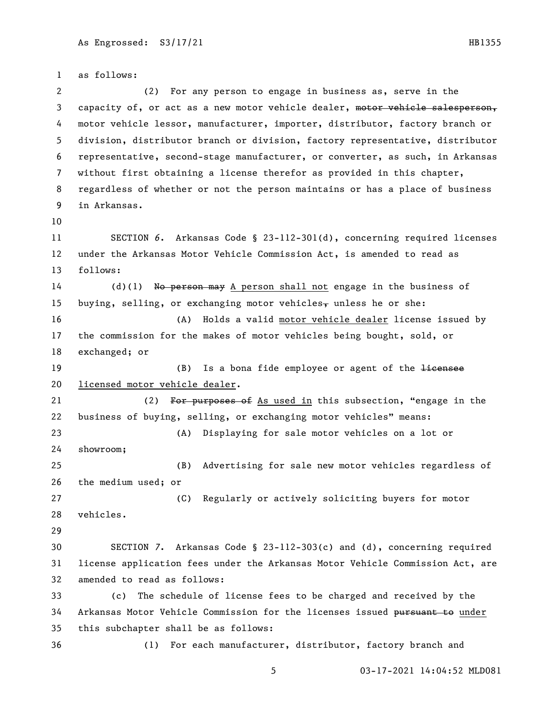as follows: (2) For any person to engage in business as, serve in the 3 capacity of, or act as a new motor vehicle dealer, motor vehicle salesperson, motor vehicle lessor, manufacturer, importer, distributor, factory branch or division, distributor branch or division, factory representative, distributor representative, second-stage manufacturer, or converter, as such, in Arkansas without first obtaining a license therefor as provided in this chapter, regardless of whether or not the person maintains or has a place of business in Arkansas. SECTION *6*. Arkansas Code § 23-112-301(d), concerning required licenses under the Arkansas Motor Vehicle Commission Act, is amended to read as follows: (d)(1) No person may A person shall not engage in the business of 15 buying, selling, or exchanging motor vehicles, unless he or she: (A) Holds a valid motor vehicle dealer license issued by the commission for the makes of motor vehicles being bought, sold, or exchanged; or 19 (B) Is a bona fide employee or agent of the <del>licensee</del> licensed motor vehicle dealer. 21 (2) For purposes of As used in this subsection, "engage in the business of buying, selling, or exchanging motor vehicles" means: (A) Displaying for sale motor vehicles on a lot or showroom; (B) Advertising for sale new motor vehicles regardless of the medium used; or (C) Regularly or actively soliciting buyers for motor vehicles. SECTION *7*. Arkansas Code § 23-112-303(c) and (d), concerning required license application fees under the Arkansas Motor Vehicle Commission Act, are amended to read as follows: (c) The schedule of license fees to be charged and received by the 34 Arkansas Motor Vehicle Commission for the licenses issued pursuant to under this subchapter shall be as follows: (1) For each manufacturer, distributor, factory branch and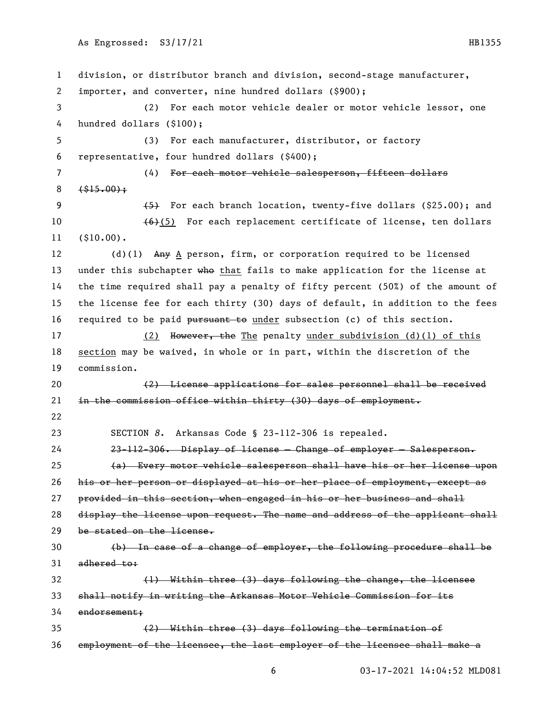division, or distributor branch and division, second-stage manufacturer, importer, and converter, nine hundred dollars (\$900); (2) For each motor vehicle dealer or motor vehicle lessor, one hundred dollars (\$100); (3) For each manufacturer, distributor, or factory representative, four hundred dollars (\$400); (4) For each motor vehicle salesperson, fifteen dollars  $8 \left( \frac{\$15.00}{?} \right)$ 9 (5) For each branch location, twenty-five dollars (\$25.00); and  $(6)(5)$  For each replacement certificate of license, ten dollars (\$10.00). 12 (d)(1) Any A person, firm, or corporation required to be licensed 13 under this subchapter who that fails to make application for the license at the time required shall pay a penalty of fifty percent (50%) of the amount of the license fee for each thirty (30) days of default, in addition to the fees 16 required to be paid pursuant to under subsection (c) of this section. 17 (2) However, the The penalty under subdivision (d)(1) of this section may be waived, in whole or in part, within the discretion of the commission. (2) License applications for sales personnel shall be received 21 in the commission office within thirty (30) days of employment. SECTION *8*. Arkansas Code § 23-112-306 is repealed. 23-112-306. Display of license — Change of employer — Salesperson. (a) Every motor vehicle salesperson shall have his or her license upon his or her person or displayed at his or her place of employment, except as provided in this section, when engaged in his or her business and shall 28 display the license upon request. The name and address of the applicant shall be stated on the license. (b) In case of a change of employer, the following procedure shall be 31 adhered to: (1) Within three (3) days following the change, the licensee shall notify in writing the Arkansas Motor Vehicle Commission for its endorsement; (2) Within three (3) days following the termination of employment of the licensee, the last employer of the licensee shall make a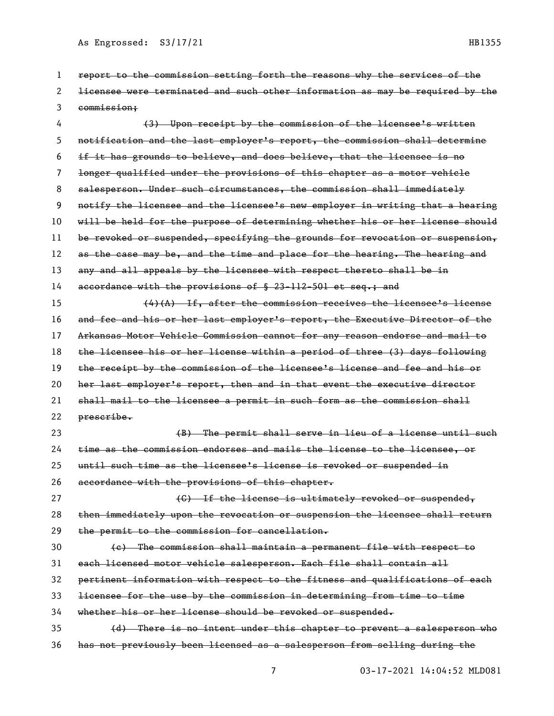| 1  | report to the commission setting forth the reasons why the services of the    |
|----|-------------------------------------------------------------------------------|
| 2  | licensee were terminated and such other information as may be required by the |
| 3  | commission;                                                                   |
| 4  | (3) Upon receipt by the commission of the licensee's written                  |
| 5  | notification and the last employer's report, the commission shall determine   |
| 6  | if it has grounds to believe, and does believe, that the licensee is no       |
| 7  | longer qualified under the provisions of this chapter as a motor vehicle      |
| 8  | salesperson. Under such circumstances, the commission shall immediately       |
| 9  | notify the licensee and the licensee's new employer in writing that a hearing |
| 10 | will be held for the purpose of determining whether his or her license should |
| 11 | be revoked or suspended, specifying the grounds for revocation or suspension, |
| 12 | as the case may be, and the time and place for the hearing. The hearing and   |
| 13 | any and all appeals by the licensee with respect thereto shall be in          |
| 14 | accordance with the provisions of § 23-112-501 et seq.; and                   |
| 15 | $(4)$ (A) If, after the commission receives the licensee's license            |
| 16 | and fee and his or her last employer's report, the Executive Director of the  |
| 17 | Arkansas Motor Vehicle Commission cannot for any reason endorse and mail to   |
| 18 | the licensee his or her license within a period of three (3) days following   |
| 19 | the receipt by the commission of the licensee's license and fee and his or    |
| 20 | her last employer's report, then and in that event the executive director     |
| 21 | shall mail to the licensee a permit in such form as the commission shall      |
| 22 | prescribe.                                                                    |
| 23 | (B) The permit shall serve in lieu of a license until such                    |
| 24 | time as the commission endorses and mails the license to the licensee, or     |
| 25 | until such time as the licensee's license is revoked or suspended in          |
| 26 | accordance with the provisions of this chapter.                               |
| 27 | (C) If the license is ultimately revoked or suspended,                        |
| 28 | then immediately upon the revocation or suspension the licensee shall return  |
| 29 | the permit to the commission for cancellation.                                |
| 30 | (e) The commission shall maintain a permanent file with respect to            |
| 31 | each licensed motor vehicle salesperson. Each file shall contain all          |
| 32 | pertinent information with respect to the fitness and qualifications of each  |
| 33 | licensee for the use by the commission in determining from time to time       |
| 34 | whether his or her license should be revoked or suspended.                    |
| 35 | (d) There is no intent under this chapter to prevent a salesperson who        |
| 36 | has not previously been licensed as a salesperson from selling during the     |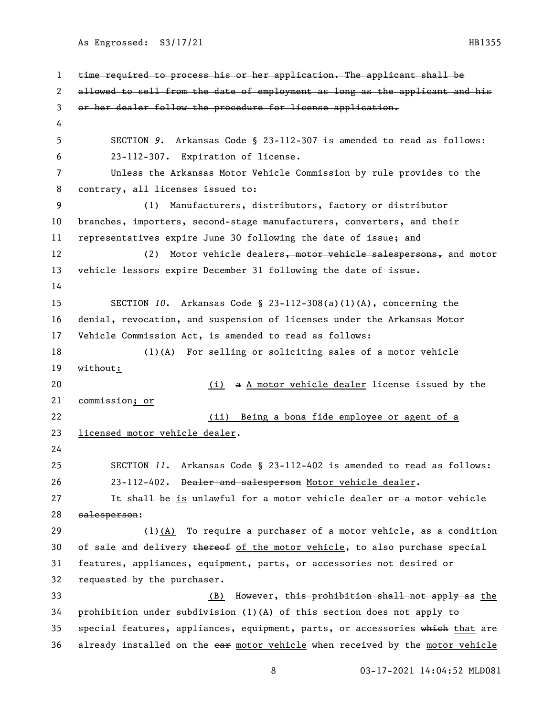time required to process his or her application. The applicant shall be allowed to sell from the date of employment as long as the applicant and his or her dealer follow the procedure for license application. SECTION *9*. Arkansas Code § 23-112-307 is amended to read as follows: 23-112-307. Expiration of license. Unless the Arkansas Motor Vehicle Commission by rule provides to the contrary, all licenses issued to: (1) Manufacturers, distributors, factory or distributor branches, importers, second-stage manufacturers, converters, and their representatives expire June 30 following the date of issue; and 12 (2) Motor vehicle dealers, motor vehicle salespersons, and motor vehicle lessors expire December 31 following the date of issue. SECTION *10*. Arkansas Code § 23-112-308(a)(1)(A), concerning the denial, revocation, and suspension of licenses under the Arkansas Motor Vehicle Commission Act, is amended to read as follows: (1)(A) For selling or soliciting sales of a motor vehicle without: (i) a A motor vehicle dealer license issued by the commission; or (ii) Being a bona fide employee or agent of a licensed motor vehicle dealer. SECTION *11*. Arkansas Code § 23-112-402 is amended to read as follows: 23-112-402. Dealer and salesperson Motor vehicle dealer. 27 It shall be is unlawful for a motor vehicle dealer or a motor vehicle salesperson: (1)(A) To require a purchaser of a motor vehicle, as a condition 30 of sale and delivery thereof of the motor vehicle, to also purchase special features, appliances, equipment, parts, or accessories not desired or requested by the purchaser. 33 (B) However, this prohibition shall not apply as the prohibition under subdivision (1)(A) of this section does not apply to 35 special features, appliances, equipment, parts, or accessories which that are 36 already installed on the ear motor vehicle when received by the motor vehicle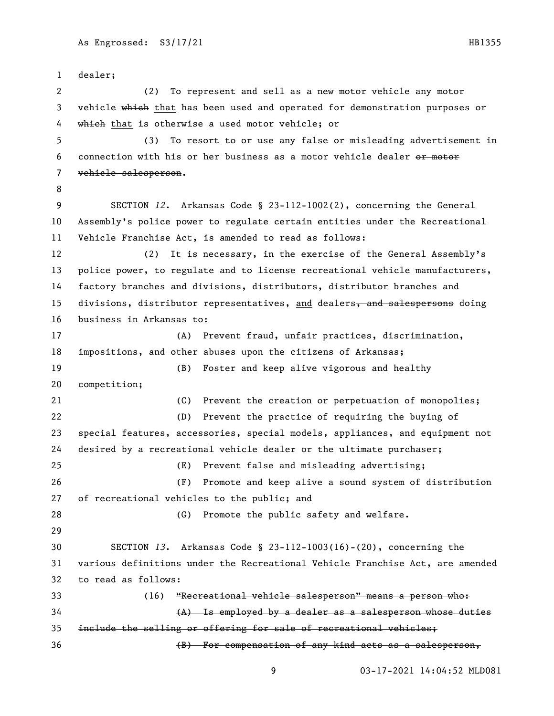dealer; (2) To represent and sell as a new motor vehicle any motor 3 vehicle which that has been used and operated for demonstration purposes or 4 which that is otherwise a used motor vehicle; or (3) To resort to or use any false or misleading advertisement in 6 connection with his or her business as a motor vehicle dealer or motor vehicle salesperson. SECTION *12*. Arkansas Code § 23-112-1002(2), concerning the General Assembly's police power to regulate certain entities under the Recreational Vehicle Franchise Act, is amended to read as follows: (2) It is necessary, in the exercise of the General Assembly's police power, to regulate and to license recreational vehicle manufacturers, factory branches and divisions, distributors, distributor branches and 15 divisions, distributor representatives, and dealers, and salespersons doing business in Arkansas to: (A) Prevent fraud, unfair practices, discrimination, impositions, and other abuses upon the citizens of Arkansas; (B) Foster and keep alive vigorous and healthy competition; (C) Prevent the creation or perpetuation of monopolies; (D) Prevent the practice of requiring the buying of special features, accessories, special models, appliances, and equipment not desired by a recreational vehicle dealer or the ultimate purchaser; (E) Prevent false and misleading advertising; (F) Promote and keep alive a sound system of distribution of recreational vehicles to the public; and 28 (G) Promote the public safety and welfare. SECTION *13*. Arkansas Code § 23-112-1003(16)-(20), concerning the various definitions under the Recreational Vehicle Franchise Act, are amended to read as follows: (16) "Recreational vehicle salesperson" means a person who: (A) Is employed by a dealer as a salesperson whose duties include the selling or offering for sale of recreational vehicles; (B) For compensation of any kind acts as a salesperson,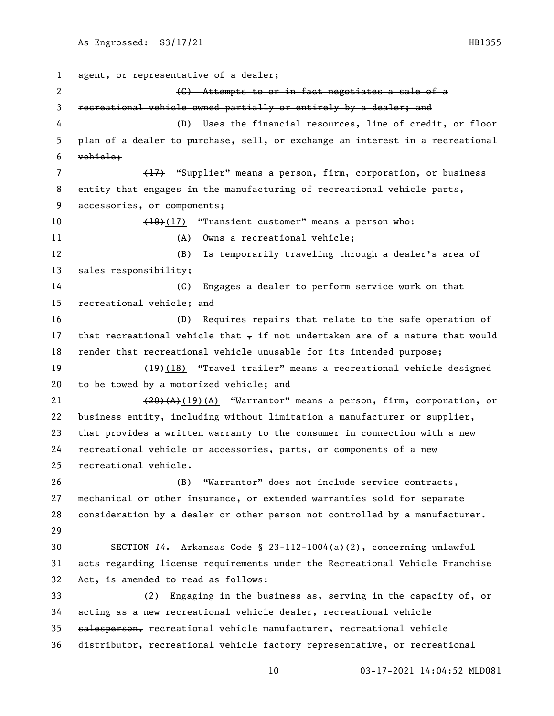```
1 agent, or representative of a dealer;
 2 and \left(\frac{C}{C}\right) Attempts to or in fact negotiates a sale of a
3 recreational vehicle owned partially or entirely by a dealer; and
 4 (D) Uses the financial resources, line of credit, or floor 
5 plan of a dealer to purchase, sell, or exchange an interest in a recreational 
6 vehicle;
7 (17) "Supplier" means a person, firm, corporation, or business
8 entity that engages in the manufacturing of recreational vehicle parts, 
9 accessories, or components;
10 (18)(17) "Transient customer" means a person who:
11 (A) Owns a recreational vehicle;
12 (B) Is temporarily traveling through a dealer's area of 
13 sales responsibility;
14 (C) Engages a dealer to perform service work on that 
15 recreational vehicle; and
16 (D) Requires repairs that relate to the safe operation of 
17 that recreational vehicle that \tau if not undertaken are of a nature that would
18 render that recreational vehicle unusable for its intended purpose;
19 (19)(18) "Travel trailer" means a recreational vehicle designed
20 to be towed by a motorized vehicle; and
21 (20)(A)(19)(A) "Warrantor" means a person, firm, corporation, or
22 business entity, including without limitation a manufacturer or supplier, 
23 that provides a written warranty to the consumer in connection with a new 
24 recreational vehicle or accessories, parts, or components of a new 
25 recreational vehicle.
26 (B) "Warrantor" does not include service contracts, 
27 mechanical or other insurance, or extended warranties sold for separate 
28 consideration by a dealer or other person not controlled by a manufacturer.
29
30 SECTION 14. Arkansas Code § 23-112-1004(a)(2), concerning unlawful 
31 acts regarding license requirements under the Recreational Vehicle Franchise 
32 Act, is amended to read as follows:
33 (2) Engaging in the business as, serving in the capacity of, or 
34 acting as a new recreational vehicle dealer, recreational vehicle
35 salesperson, recreational vehicle manufacturer, recreational vehicle 
36 distributor, recreational vehicle factory representative, or recreational
```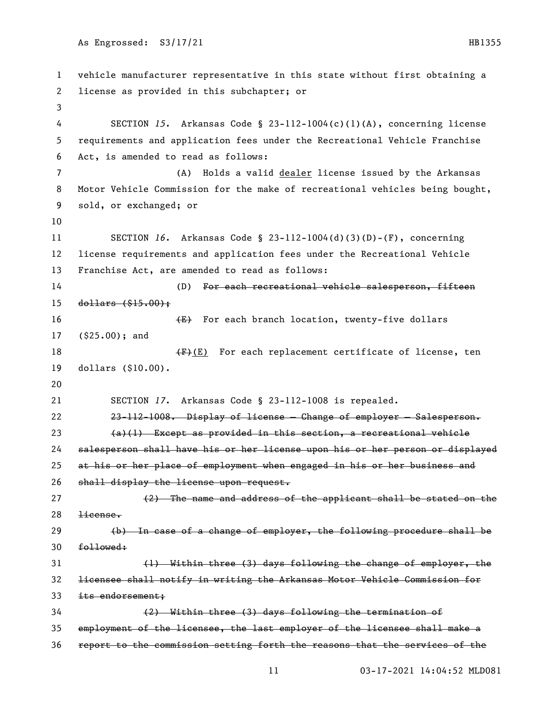vehicle manufacturer representative in this state without first obtaining a license as provided in this subchapter; or SECTION *15*. Arkansas Code § 23-112-1004(c)(1)(A), concerning license requirements and application fees under the Recreational Vehicle Franchise Act, is amended to read as follows: (A) Holds a valid dealer license issued by the Arkansas Motor Vehicle Commission for the make of recreational vehicles being bought, sold, or exchanged; or SECTION *16*. Arkansas Code § 23-112-1004(d)(3)(D)-(F), concerning license requirements and application fees under the Recreational Vehicle Franchise Act, are amended to read as follows: 14 (D) For each recreational vehicle salesperson, fifteen dollars (\$15.00); 16 (E) For each branch location, twenty-five dollars (\$25.00); and  $\leftarrow$   $\leftarrow$  (E) For each replacement certificate of license, ten dollars (\$10.00). SECTION *17*. Arkansas Code § 23-112-1008 is repealed. 23-112-1008. Display of license — Change of employer — Salesperson. (a)(1) Except as provided in this section, a recreational vehicle salesperson shall have his or her license upon his or her person or displayed at his or her place of employment when engaged in his or her business and 26 shall display the license upon request. (2) The name and address of the applicant shall be stated on the license. (b) In case of a change of employer, the following procedure shall be followed: (1) Within three (3) days following the change of employer, the licensee shall notify in writing the Arkansas Motor Vehicle Commission for 33 its endorsement: (2) Within three (3) days following the termination of employment of the licensee, the last employer of the licensee shall make a report to the commission setting forth the reasons that the services of the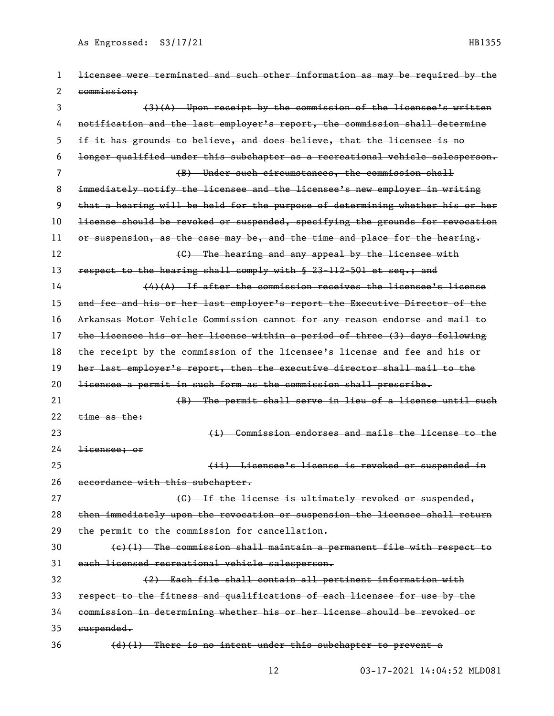| 1  | licensee were terminated and such other information as may be required by the |
|----|-------------------------------------------------------------------------------|
| 2  | commission;                                                                   |
| 3  | $(3)$ (A) Upon receipt by the commission of the licensee's written            |
| 4  | notification and the last employer's report, the commission shall determine   |
| 5  | if it has grounds to believe, and does believe, that the licensee is no       |
| 6  | longer qualified under this subchapter as a recreational vehicle salesperson. |
| 7  | (B) Under such circumstances, the commission shall                            |
| 8  | immediately notify the licensee and the licensee's new employer in writing    |
| 9  | that a hearing will be held for the purpose of determining whether his or her |
| 10 | license should be revoked or suspended, specifying the grounds for revocation |
| 11 | or suspension, as the case may be, and the time and place for the hearing.    |
| 12 | (C) The hearing and any appeal by the licensee with                           |
| 13 | respect to the hearing shall comply with § 23-112-501 et seq.; and            |
| 14 | $(4)$ (A) If after the commission receives the licensee's license             |
| 15 | and fee and his or her last employer's report the Executive Director of the   |
| 16 | Arkansas Motor Vehicle Commission cannot for any reason endorse and mail to   |
| 17 | the licensee his or her license within a period of three (3) days following   |
| 18 | the receipt by the commission of the licensee's license and fee and his or    |
| 19 | her last employer's report, then the executive director shall mail to the     |
| 20 | licensee a permit in such form as the commission shall prescribe.             |
| 21 | (B) The permit shall serve in lieu of a license until such                    |
| 22 | $time$ as the:                                                                |
| 23 | (i) Commission endorses and mails the license to the                          |
| 24 | <del>licensee: or</del>                                                       |
| 25 | (ii) Licensee's license is revoked or suspended in                            |
| 26 | accordance with this subchapter.                                              |
| 27 | (C) If the license is ultimately revoked or suspended,                        |
| 28 | then immediately upon the revocation or suspension the licensee shall return  |
| 29 | the permit to the commission for cancellation.                                |
| 30 | (e)(1) The commission shall maintain a permanent file with respect to         |
| 31 | each licensed recreational vehicle salesperson.                               |
| 32 | (2) Each file shall contain all pertinent information with                    |
| 33 |                                                                               |
|    | respect to the fitness and qualifications of each licensee for use by the     |
| 34 | commission in determining whether his or her license should be revoked or     |
| 35 | suspended.                                                                    |